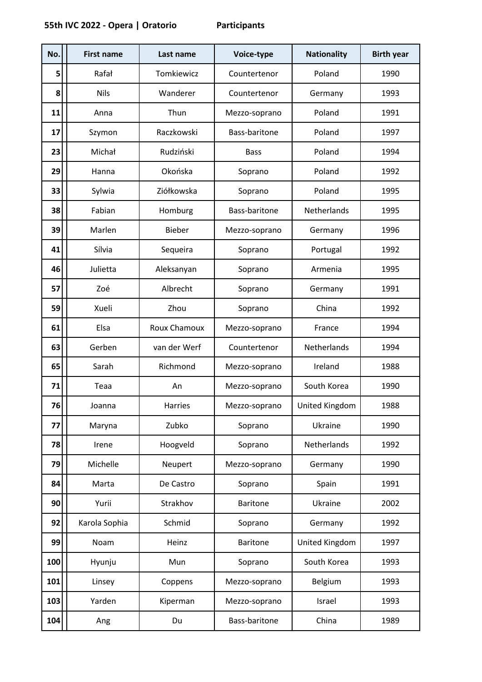| No. | <b>First name</b> | Last name     | Voice-type      | <b>Nationality</b> | <b>Birth year</b> |
|-----|-------------------|---------------|-----------------|--------------------|-------------------|
| 5   | Rafał             | Tomkiewicz    | Countertenor    | Poland             | 1990              |
| 8   | <b>Nils</b>       | Wanderer      | Countertenor    | Germany            | 1993              |
| 11  | Anna              | Thun          | Mezzo-soprano   | Poland             | 1991              |
| 17  | Szymon            | Raczkowski    | Bass-baritone   | Poland             | 1997              |
| 23  | Michał            | Rudziński     | <b>Bass</b>     | Poland             | 1994              |
| 29  | Hanna             | Okońska       | Soprano         | Poland             | 1992              |
| 33  | Sylwia            | Ziółkowska    | Soprano         | Poland             | 1995              |
| 38  | Fabian            | Homburg       | Bass-baritone   | Netherlands        | 1995              |
| 39  | Marlen            | <b>Bieber</b> | Mezzo-soprano   | Germany            | 1996              |
| 41  | Sílvia            | Sequeira      | Soprano         | Portugal           | 1992              |
| 46  | Julietta          | Aleksanyan    | Soprano         | Armenia            | 1995              |
| 57  | Zoé               | Albrecht      | Soprano         | Germany            | 1991              |
| 59  | Xueli             | Zhou          | Soprano         | China              | 1992              |
| 61  | Elsa              | Roux Chamoux  | Mezzo-soprano   | France             | 1994              |
| 63  | Gerben            | van der Werf  | Countertenor    | Netherlands        | 1994              |
| 65  | Sarah             | Richmond      | Mezzo-soprano   | Ireland            | 1988              |
| 71  | Teaa              | An            | Mezzo-soprano   | South Korea        | 1990              |
| 76  | Joanna            | Harries       | Mezzo-soprano   | United Kingdom     | 1988              |
| 77  | Maryna            | Zubko         | Soprano         | Ukraine            | 1990              |
| 78  | Irene             | Hoogveld      | Soprano         | Netherlands        | 1992              |
| 79  | Michelle          | Neupert       | Mezzo-soprano   | Germany            | 1990              |
| 84  | Marta             | De Castro     | Soprano         | Spain              | 1991              |
| 90  | Yurii             | Strakhov      | <b>Baritone</b> | Ukraine            | 2002              |
| 92  | Karola Sophia     | Schmid        | Soprano         | Germany            | 1992              |
| 99  | Noam              | Heinz         | <b>Baritone</b> | United Kingdom     | 1997              |
| 100 | Hyunju            | Mun           | Soprano         | South Korea        | 1993              |
| 101 | Linsey            | Coppens       | Mezzo-soprano   | Belgium            | 1993              |
| 103 | Yarden            | Kiperman      | Mezzo-soprano   | Israel             | 1993              |
| 104 | Ang               | Du            | Bass-baritone   | China              | 1989              |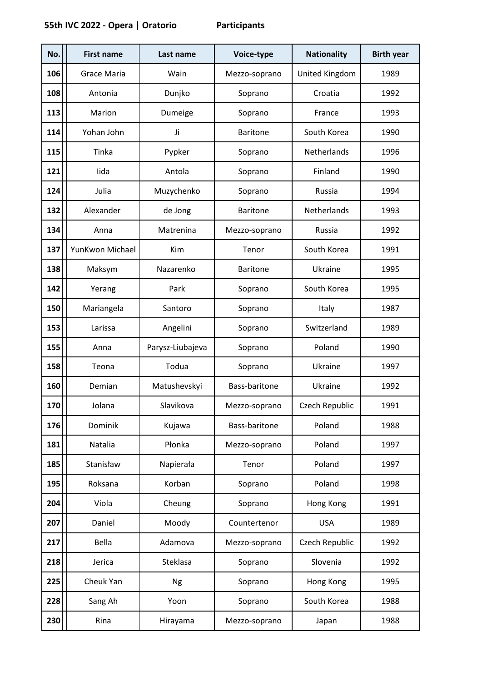| No. | <b>First name</b> | Last name        | Voice-type      | <b>Nationality</b> | <b>Birth year</b> |
|-----|-------------------|------------------|-----------------|--------------------|-------------------|
| 106 | Grace Maria       | Wain             | Mezzo-soprano   | United Kingdom     | 1989              |
| 108 | Antonia           | Dunjko           | Soprano         | Croatia            | 1992              |
| 113 | Marion            | Dumeige          | Soprano         | France             | 1993              |
| 114 | Yohan John        | Ji               | <b>Baritone</b> | South Korea        | 1990              |
| 115 | Tinka             | Pypker           | Soprano         | Netherlands        | 1996              |
| 121 | lida              | Antola           | Soprano         | Finland            | 1990              |
| 124 | Julia             | Muzychenko       | Soprano         | Russia             | 1994              |
| 132 | Alexander         | de Jong          | <b>Baritone</b> | Netherlands        | 1993              |
| 134 | Anna              | Matrenina        | Mezzo-soprano   | Russia             | 1992              |
| 137 | YunKwon Michael   | Kim              | Tenor           | South Korea        | 1991              |
| 138 | Maksym            | Nazarenko        | <b>Baritone</b> | Ukraine            | 1995              |
| 142 | Yerang            | Park             | Soprano         | South Korea        | 1995              |
| 150 | Mariangela        | Santoro          | Soprano         | Italy              | 1987              |
| 153 | Larissa           | Angelini         | Soprano         | Switzerland        | 1989              |
| 155 | Anna              | Parysz-Liubajeva | Soprano         | Poland             | 1990              |
| 158 | Teona             | Todua            | Soprano         | Ukraine            | 1997              |
| 160 | Demian            | Matushevskyi     | Bass-baritone   | Ukraine            | 1992              |
| 170 | Jolana            | Slavikova        | Mezzo-soprano   | Czech Republic     | 1991              |
| 176 | Dominik           | Kujawa           | Bass-baritone   | Poland             | 1988              |
| 181 | Natalia           | Płonka           | Mezzo-soprano   | Poland             | 1997              |
| 185 | Stanisław         | Napierała        | Tenor           | Poland             | 1997              |
| 195 | Roksana           | Korban           | Soprano         | Poland             | 1998              |
| 204 | Viola             | Cheung           | Soprano         | Hong Kong          | 1991              |
| 207 | Daniel            | Moody            | Countertenor    | <b>USA</b>         | 1989              |
| 217 | Bella             | Adamova          | Mezzo-soprano   | Czech Republic     | 1992              |
| 218 | Jerica            | Steklasa         | Soprano         | Slovenia           | 1992              |
| 225 | Cheuk Yan         | <b>Ng</b>        | Soprano         | Hong Kong          | 1995              |
| 228 | Sang Ah           | Yoon             | Soprano         | South Korea        | 1988              |
| 230 | Rina              | Hirayama         | Mezzo-soprano   | Japan              | 1988              |